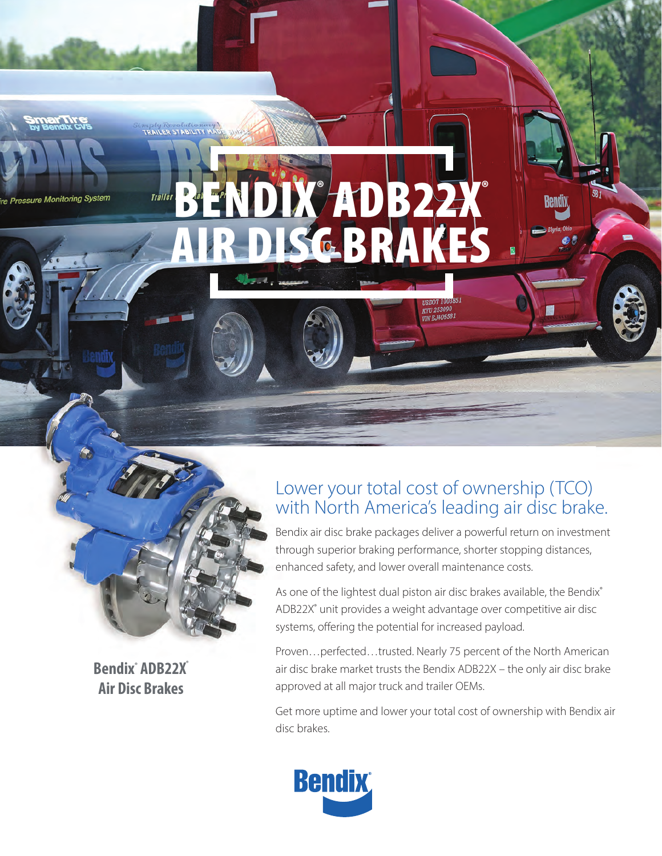



**TRAILER STAB** 

<u>ar mre</u>

re Pressure Monitoring System

**Bendix® ADB22X® Air Disc Brakes**

# Lower your total cost of ownership (TCO) with North America's leading air disc brake.

**KYU 253090**<br>VIN EJ406581

Bendix air disc brake packages deliver a powerful return on investment through superior braking performance, shorter stopping distances, enhanced safety, and lower overall maintenance costs.

As one of the lightest dual piston air disc brakes available, the Bendix® ADB22X® unit provides a weight advantage over competitive air disc systems, offering the potential for increased payload.

Proven…perfected…trusted. Nearly 75 percent of the North American air disc brake market trusts the Bendix ADB22X – the only air disc brake approved at all major truck and trailer OEMs.

Get more uptime and lower your total cost of ownership with Bendix air disc brakes.